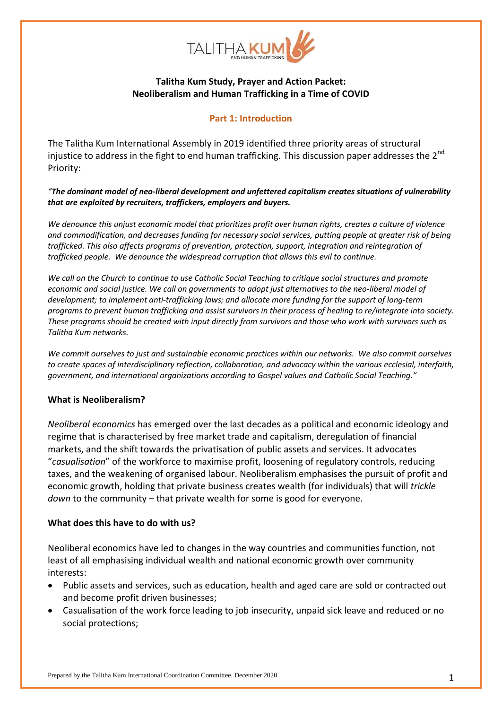

# **Talitha Kum Study, Prayer and Action Packet: Neoliberalism and Human Trafficking in a Time of COVID**

### **Part 1: Introduction**

The Talitha Kum International Assembly in 2019 identified three priority areas of structural injustice to address in the fight to end human trafficking. This discussion paper addresses the 2<sup>nd</sup> Priority:

*"The dominant model of neo-liberal development and unfettered capitalism creates situations of vulnerability that are exploited by recruiters, traffickers, employers and buyers.*

*We denounce this unjust economic model that prioritizes profit over human rights, creates a culture of violence and commodification, and decreases funding for necessary social services, putting people at greater risk of being trafficked. This also affects programs of prevention, protection, support, integration and reintegration of trafficked people. We denounce the widespread corruption that allows this evil to continue.*

*We call on the Church to continue to use Catholic Social Teaching to critique social structures and promote economic and social justice. We call on governments to adopt just alternatives to the neo-liberal model of development; to implement anti-trafficking laws; and allocate more funding for the support of long-term programs to prevent human trafficking and assist survivors in their process of healing to re/integrate into society. These programs should be created with input directly from survivors and those who work with survivors such as Talitha Kum networks.* 

*We commit ourselves to just and sustainable economic practices within our networks. We also commit ourselves to create spaces of interdisciplinary reflection, collaboration, and advocacy within the various ecclesial, interfaith, government, and international organizations according to Gospel values and Catholic Social Teaching."*

#### **What is Neoliberalism?**

*Neoliberal economics* has emerged over the last decades as a political and economic ideology and regime that is characterised by free market trade and capitalism, deregulation of financial markets, and the shift towards the privatisation of public assets and services. It advocates "*casualisation*" of the workforce to maximise profit, loosening of regulatory controls, reducing taxes, and the weakening of organised labour. Neoliberalism emphasises the pursuit of profit and economic growth, holding that private business creates wealth (for individuals) that will *trickle down* to the community – that private wealth for some is good for everyone.

#### **What does this have to do with us?**

Neoliberal economics have led to changes in the way countries and communities function, not least of all emphasising individual wealth and national economic growth over community interests:

- Public assets and services, such as education, health and aged care are sold or contracted out and become profit driven businesses;
- Casualisation of the work force leading to job insecurity, unpaid sick leave and reduced or no social protections;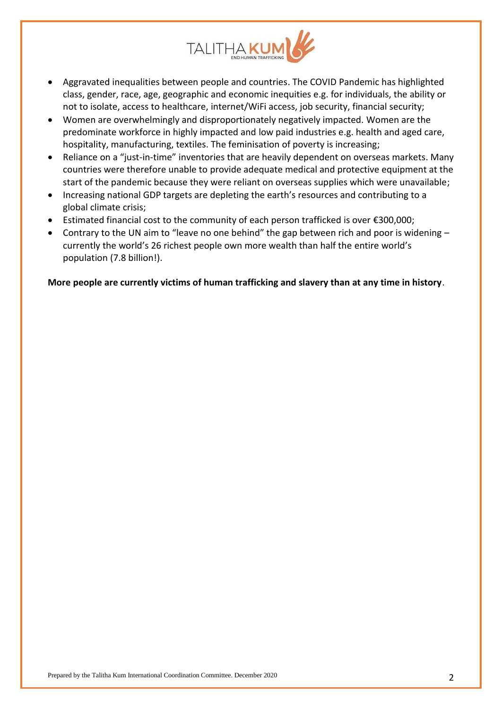

- Aggravated inequalities between people and countries. The COVID Pandemic has highlighted class, gender, race, age, geographic and economic inequities e.g. for individuals, the ability or not to isolate, access to healthcare, internet/WiFi access, job security, financial security;
- Women are overwhelmingly and disproportionately negatively impacted. Women are the predominate workforce in highly impacted and low paid industries e.g. health and aged care, hospitality, manufacturing, textiles. The feminisation of poverty is increasing;
- Reliance on a "just-in-time" inventories that are heavily dependent on overseas markets. Many countries were therefore unable to provide adequate medical and protective equipment at the start of the pandemic because they were reliant on overseas supplies which were unavailable;
- Increasing national GDP targets are depleting the earth's resources and contributing to a global climate crisis;
- Estimated financial cost to the community of each person trafficked is over €300,000;
- $\bullet$  Contrary to the UN aim to "leave no one behind" the gap between rich and poor is widening  $$ currently the world's 26 richest people own more wealth than half the entire world's population (7.8 billion!).

**More people are currently victims of human trafficking and slavery than at any time in history**.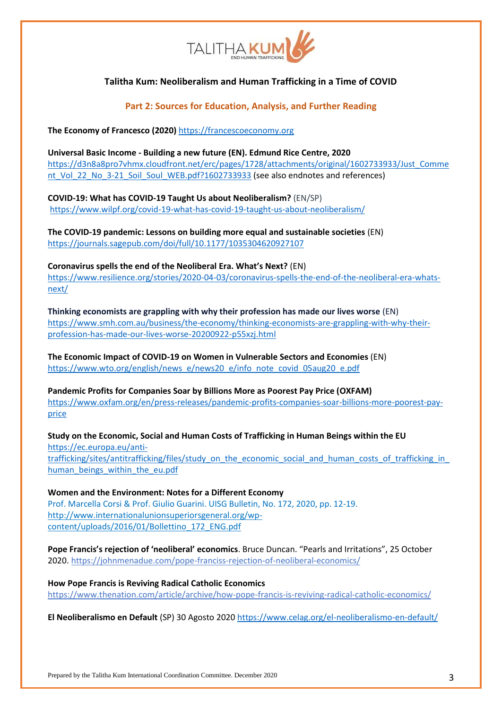

**Part 2: Sources for Education, Analysis, and Further Reading**

**The Economy of Francesco (2020)** [https://francescoeconomy.org](https://francescoeconomy.org/)

**Universal Basic Income - Building a new future (EN). Edmund Rice Centre, 2020** [https://d3n8a8pro7vhmx.cloudfront.net/erc/pages/1728/attachments/original/1602733933/Just\\_Comme](https://d3n8a8pro7vhmx.cloudfront.net/erc/pages/1728/attachments/original/1602733933/Just_Comment_Vol_22_No_3-21_Soil_Soul_WEB.pdf?1602733933) [nt\\_Vol\\_22\\_No\\_3-21\\_Soil\\_Soul\\_WEB.pdf?1602733933](https://d3n8a8pro7vhmx.cloudfront.net/erc/pages/1728/attachments/original/1602733933/Just_Comment_Vol_22_No_3-21_Soil_Soul_WEB.pdf?1602733933) (see also endnotes and references)

**COVID-19: What has COVID-19 Taught Us about Neoliberalism?** (EN/SP) <https://www.wilpf.org/covid-19-what-has-covid-19-taught-us-about-neoliberalism/>

**The COVID-19 pandemic: Lessons on building more equal and sustainable societies** (EN) <https://journals.sagepub.com/doi/full/10.1177/1035304620927107>

**Coronavirus spells the end of the Neoliberal Era. What's Next?** (EN) [https://www.resilience.org/stories/2020-04-03/coronavirus-spells-the-end-of-the-neoliberal-era-whats](https://www.resilience.org/stories/2020-04-03/coronavirus-spells-the-end-of-the-neoliberal-era-whats-next/)[next/](https://www.resilience.org/stories/2020-04-03/coronavirus-spells-the-end-of-the-neoliberal-era-whats-next/)

**Thinking economists are grappling with why their profession has made our lives worse** (EN) [https://www.smh.com.au/business/the-economy/thinking-economists-are-grappling-with-why-their](https://www.smh.com.au/business/the-economy/thinking-economists-are-grappling-with-why-their-profession-has-made-our-lives-worse-20200922-p55xzj.html)[profession-has-made-our-lives-worse-20200922-p55xzj.html](https://www.smh.com.au/business/the-economy/thinking-economists-are-grappling-with-why-their-profession-has-made-our-lives-worse-20200922-p55xzj.html)

**The Economic Impact of COVID-19 on Women in Vulnerable Sectors and Economies** (EN) [https://www.wto.org/english/news\\_e/news20\\_e/info\\_note\\_covid\\_05aug20\\_e.pdf](https://www.wto.org/english/news_e/news20_e/info_note_covid_05aug20_e.pdf)

**Pandemic Profits for Companies Soar by Billions More as Poorest Pay Price (OXFAM)**  [https://www.oxfam.org/en/press-releases/pandemic-profits-companies-soar-billions-more-poorest-pay](https://www.oxfam.org/en/press-releases/pandemic-profits-companies-soar-billions-more-poorest-pay-price)[price](https://www.oxfam.org/en/press-releases/pandemic-profits-companies-soar-billions-more-poorest-pay-price)

**Study on the Economic, Social and Human Costs of Trafficking in Human Beings within the EU**  [https://ec.europa.eu/anti](https://ec.europa.eu/anti-trafficking/sites/antitrafficking/files/study_on_the_economic_social_and_human_costs_of_trafficking_in_human_beings_within_the_eu.pdf)[trafficking/sites/antitrafficking/files/study\\_on\\_the\\_economic\\_social\\_and\\_human\\_costs\\_of\\_trafficking\\_in\\_](https://ec.europa.eu/anti-trafficking/sites/antitrafficking/files/study_on_the_economic_social_and_human_costs_of_trafficking_in_human_beings_within_the_eu.pdf) human beings within the eu.pdf

**Women and the Environment: Notes for a Different Economy** Prof. Marcella Corsi & Prof. Giulio Guarini. UISG Bulletin, No. 172, 2020, pp. 12-19. [http://www.internationalunionsuperiorsgeneral.org/wp](http://www.internationalunionsuperiorsgeneral.org/wp-content/uploads/2016/01/Bollettino_172_ENG.pdf)[content/uploads/2016/01/Bollettino\\_172\\_ENG.pdf](http://www.internationalunionsuperiorsgeneral.org/wp-content/uploads/2016/01/Bollettino_172_ENG.pdf)

**Pope Francis's rejection of 'neoliberal' economics**. Bruce Duncan. "Pearls and Irritations", 25 October 2020.<https://johnmenadue.com/pope-franciss-rejection-of-neoliberal-economics/>

**How Pope Francis is Reviving Radical Catholic Economics** <https://www.thenation.com/article/archive/how-pope-francis-is-reviving-radical-catholic-economics/>

**El Neoliberalismo en Default** (SP) 30 Agosto 2020 <https://www.celag.org/el-neoliberalismo-en-default/>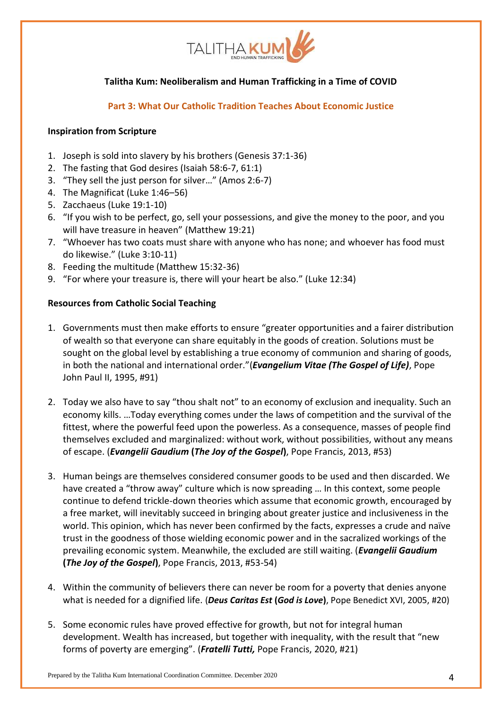

**Part 3: What Our Catholic Tradition Teaches About Economic Justice**

### **Inspiration from Scripture**

- 1. Joseph is sold into slavery by his brothers (Genesis 37:1-36)
- 2. The fasting that God desires (Isaiah 58:6-7, 61:1)
- 3. "They sell the just person for silver…" (Amos 2:6-7)
- 4. The Magnificat (Luke 1:46–56)
- 5. Zacchaeus (Luke 19:1-10)
- 6. "If you wish to be perfect, go, sell your possessions, and give the money to the poor, and you will have treasure in heaven" (Matthew 19:21)
- 7. "Whoever has two coats must share with anyone who has none; and whoever has food must do likewise." (Luke 3:10-11)
- 8. Feeding the multitude (Matthew 15:32-36)
- 9. "For where your treasure is, there will your heart be also." (Luke 12:34)

## **Resources from Catholic Social Teaching**

- 1. Governments must then make efforts to ensure "greater opportunities and a fairer distribution of wealth so that everyone can share equitably in the goods of creation. Solutions must be sought on the global level by establishing a true economy of communion and sharing of goods, in both the national and international order."(*[Evangelium Vitae \(The Gospel of Life\)](https://www.cctwincities.org/wp-content/uploads/2015/10/Evangelium-Vitae-The-Gospel-of-Life.pdf)*, Pope John Paul II, 1995, #91)
- 2. Today we also have to say "thou shalt not" to an economy of exclusion and inequality. Such an economy kills. …Today everything comes under the laws of competition and the survival of the fittest, where the powerful feed upon the powerless. As a consequence, masses of people find themselves excluded and marginalized: without work, without possibilities, without any means of escape. (*Evangelii Gaudium* **(***[The Joy of the Gospel](http://w2.vatican.va/content/francesco/en/apost_exhortations/documents/papa-francesco_esortazione-ap_20131124_evangelii-gaudium.html)***)**, Pope Francis, 2013, #53)
- 3. Human beings are themselves considered consumer goods to be used and then discarded. We have created a "throw away" culture which is now spreading … In this context, some people continue to defend trickle-down theories which assume that economic growth, encouraged by a free market, will inevitably succeed in bringing about greater justice and inclusiveness in the world. This opinion, which has never been confirmed by the facts, expresses a crude and naïve trust in the goodness of those wielding economic power and in the sacralized workings of the prevailing economic system. Meanwhile, the excluded are still waiting. (*[Evangelii Gaudium](http://w2.vatican.va/content/francesco/en/apost_exhortations/documents/papa-francesco_esortazione-ap_20131124_evangelii-gaudium.html)* **(***[The Joy of the Gospel](http://w2.vatican.va/content/francesco/en/apost_exhortations/documents/papa-francesco_esortazione-ap_20131124_evangelii-gaudium.html)***)**, Pope Francis, 2013, #53-54)
- 4. Within the community of believers there can never be room for a poverty that denies anyone what is needed for a dignified life. (*[Deus Caritas Est](http://www.vatican.va/holy_father/benedict_xvi/encyclicals/documents/hf_ben-xvi_enc_20051225_deus-caritas-est_en.html)* **(***God is Love***)**, Pope Benedict XVI, 2005, #20)
- 5. Some economic rules have proved effective for growth, but not for integral human development. Wealth has increased, but together with inequality, with the result that "new forms of poverty are emerging". (*Fratelli Tutti,* Pope Francis, 2020, #21)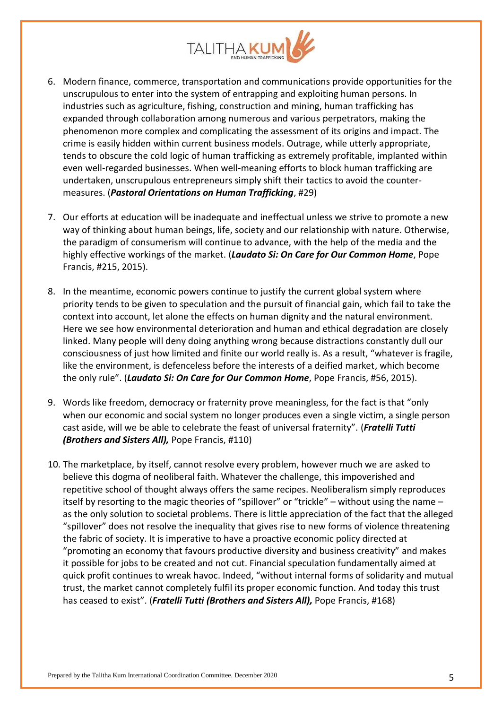

- 6. Modern finance, commerce, transportation and communications provide opportunities for the unscrupulous to enter into the system of entrapping and exploiting human persons. In industries such as agriculture, fishing, construction and mining, human trafficking has expanded through collaboration among numerous and various perpetrators, making the phenomenon more complex and complicating the assessment of its origins and impact. The crime is easily hidden within current business models. Outrage, while utterly appropriate, tends to obscure the cold logic of human trafficking as extremely profitable, implanted within even well-regarded businesses. When well-meaning efforts to block human trafficking are undertaken, unscrupulous entrepreneurs simply shift their tactics to avoid the countermeasures. (*Pastoral Orientations on Human Trafficking*, #29)
- 7. Our efforts at education will be inadequate and ineffectual unless we strive to promote a new way of thinking about human beings, life, society and our relationship with nature. Otherwise, the paradigm of consumerism will continue to advance, with the help of the media and the highly effective workings of the market. (*Laudato Si: On Care for Our Common Home*, Pope Francis, #215, 2015).
- 8. In the meantime, economic powers continue to justify the current global system where priority tends to be given to speculation and the pursuit of financial gain, which fail to take the context into account, let alone the effects on human dignity and the natural environment. Here we see how environmental deterioration and human and ethical degradation are closely linked. Many people will deny doing anything wrong because distractions constantly dull our consciousness of just how limited and finite our world really is. As a result, "whatever is fragile, like the environment, is defenceless before the interests of a deified market, which become the only rule". (*Laudato Si: On Care for Our Common Home*, Pope Francis, #56, 2015).
- 9. Words like freedom, democracy or fraternity prove meaningless, for the fact is that "only when our economic and social system no longer produces even a single victim, a single person cast aside, will we be able to celebrate the feast of universal fraternity". (*Fratelli Tutti (Brothers and Sisters All),* Pope Francis, #110)
- 10. The marketplace, by itself, cannot resolve every problem, however much we are asked to believe this dogma of neoliberal faith. Whatever the challenge, this impoverished and repetitive school of thought always offers the same recipes. Neoliberalism simply reproduces itself by resorting to the magic theories of "spillover" or "trickle" – without using the name – as the only solution to societal problems. There is little appreciation of the fact that the alleged "spillover" does not resolve the inequality that gives rise to new forms of violence threatening the fabric of society. It is imperative to have a proactive economic policy directed at "promoting an economy that favours productive diversity and business creativity" and makes it possible for jobs to be created and not cut. Financial speculation fundamentally aimed at quick profit continues to wreak havoc. Indeed, "without internal forms of solidarity and mutual trust, the market cannot completely fulfil its proper economic function. And today this trust has ceased to exist". (*Fratelli Tutti (Brothers and Sisters All),* Pope Francis, #168)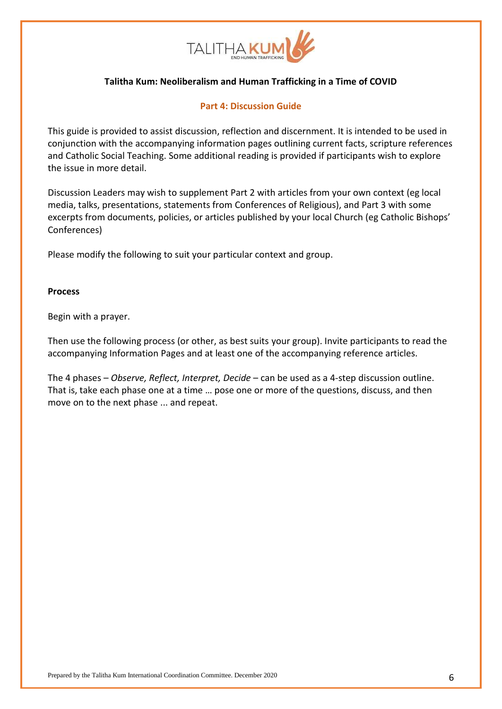

### **Part 4: Discussion Guide**

This guide is provided to assist discussion, reflection and discernment. It is intended to be used in conjunction with the accompanying information pages outlining current facts, scripture references and Catholic Social Teaching. Some additional reading is provided if participants wish to explore the issue in more detail.

Discussion Leaders may wish to supplement Part 2 with articles from your own context (eg local media, talks, presentations, statements from Conferences of Religious), and Part 3 with some excerpts from documents, policies, or articles published by your local Church (eg Catholic Bishops' Conferences)

Please modify the following to suit your particular context and group.

#### **Process**

Begin with a prayer.

Then use the following process (or other, as best suits your group). Invite participants to read the accompanying Information Pages and at least one of the accompanying reference articles.

The 4 phases – *Observe, Reflect, Interpret, Decide* – can be used as a 4-step discussion outline. That is, take each phase one at a time … pose one or more of the questions, discuss, and then move on to the next phase ... and repeat.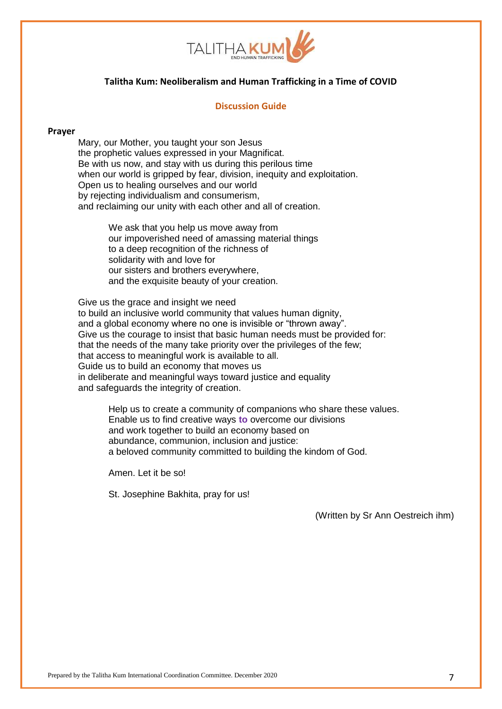

#### **Discussion Guide**

#### **Prayer**

Mary, our Mother, you taught your son Jesus the prophetic values expressed in your Magnificat. Be with us now, and stay with us during this perilous time when our world is gripped by fear, division, inequity and exploitation. Open us to healing ourselves and our world by rejecting individualism and consumerism, and reclaiming our unity with each other and all of creation.

> We ask that you help us move away from our impoverished need of amassing material things to a deep recognition of the richness of solidarity with and love for our sisters and brothers everywhere, and the exquisite beauty of your creation.

Give us the grace and insight we need to build an inclusive world community that values human dignity, and a global economy where no one is invisible or "thrown away". Give us the courage to insist that basic human needs must be provided for: that the needs of the many take priority over the privileges of the few; that access to meaningful work is available to all. Guide us to build an economy that moves us in deliberate and meaningful ways toward justice and equality and safeguards the integrity of creation.

Help us to create a community of companions who share these values. Enable us to find creative ways **to** overcome our divisions and work together to build an economy based on abundance, communion, inclusion and justice: a beloved community committed to building the kindom of God.

Amen. Let it be so!

St. Josephine Bakhita, pray for us!

(Written by Sr Ann Oestreich ihm)